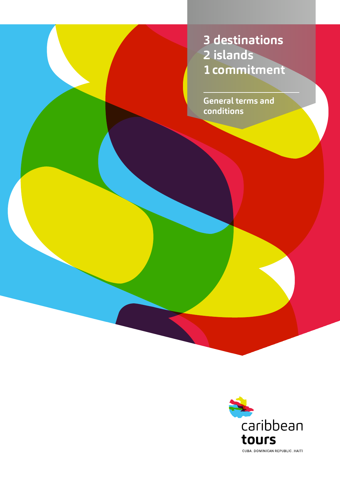**3 destinations 2 islands 1commitment**

**General terms and conditions**

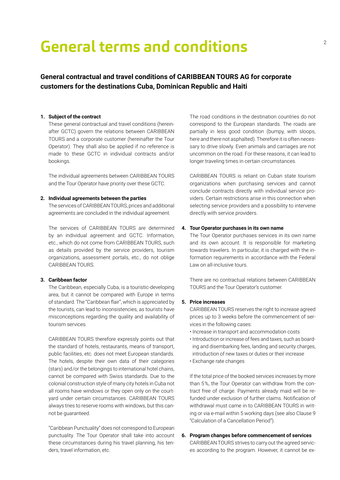# **General terms and conditions**

# **General contractual and travel conditions of CARIBBEAN TOURS AG for corporate customers for the destinations Cuba, Dominican Republic and Haiti**

#### **1. Subject of the contract**

These general contractual and travel conditions (hereinafter GCTC) govern the relations between CARIBBEAN TOURS and a corporate customer (hereinafter the Tour Operator). They shall also be applied if no reference is made to these GCTC in individual contracts and/or bookings.

The individual agreements between CARIBBEAN TOURS and the Tour Operator have priority over these GCTC.

# **2. Individual agreements between the parties**

The services of CARIBBEAN TOURS, prices and additional agreements are concluded in the individual agreement.

The services of CARIBBEAN TOURS are determined by an individual agreement and GCTC. Information, etc., which do not come from CARIBBEAN TOURS, such as details provided by the service providers, tourism organizations, assessment portals, etc., do not oblige CARIBBEAN TOURS.

# **3. Caribbean factor**

The Caribbean, especially Cuba, is a touristic-developing area, but it cannot be compared with Europe in terms of standard. The "Caribbean flair", which is appreciated by the tourists, can lead to inconsistencies, as tourists have misconceptions regarding the quality and availability of tourism services.

CARIBBEAN TOURS therefore expressly points out that the standard of hotels, restaurants, means of transport, public facilities, etc. does not meet European standards. The hotels, despite their own data of their categories (stars) and/or the belongings to international hotel chains, cannot be compared with Swiss standards. Due to the colonial construction style of many city hotels in Cuba not all rooms have windows or they open only on the courtyard under certain circumstances. CARIBBEAN TOURS always tries to reserve rooms with windows, but this cannot be guaranteed.

"Caribbean Punctuality" does not correspond to European punctuality. The Tour Operator shall take into account these circumstances during his travel planning, his tenders, travel information, etc.

The road conditions in the destination countries do not correspond to the European standards. The roads are partially in less good condition (bumpy, with sloops, here and there not asphalted). Therefore it is often necessary to drive slowly. Even animals and carriages are not uncommon on the road. For these reasons, it can lead to longer traveling times in certain circumstances.

CARIBBEAN TOURS is reliant on Cuban state tourism organizations when purchasing services and cannot conclude contracts directly with individual service providers. Certain restrictions arise in this connection when selecting service providers and a possibility to intervene directly with service providers.

# **4. Tour Operator purchases in its own name**

The Tour Operator purchases services in its own name and its own account. It is responsible for marketing towards travelers. In particular, it is charged with the information requirements in accordance with the Federal Law on all-inclusive tours.

There are no contractual relations between CARIBBEAN TOURS and the Tour Operator's customer.

# **5. Price increases**

CARIBBEAN TOURS reserves the right to increase agreed prices up to 3 weeks before the commencement of services in the following cases:

- Increase in transport and accommodation costs
- Introduction or increase of fees and taxes, such as boarding and disembarking fees, landing and security charges, introduction of new taxes or duties or their increase
- Exchange rate changes

If the total price of the booked services increases by more than 5 %, the Tour Operator can withdraw from the contract free of charge. Payments already maid will be refunded under exclusion of further claims. Notification of withdrawal must came in to CARIBBEAN TOURS in writing or via e-mail within 5 working days (see also Clause 9 "Calculation of a Cancellation Period").

# **6. Program changes before commencement of services**  CARIBBEAN TOURS strives to carry out the agreed servic-

es according to the program. However, it cannot be ex-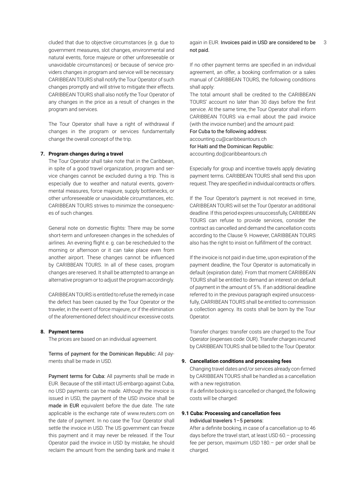government measures, slot changes, environmental and natural events, force majeure or other unforeseeable or unavoidable circumstances) or because of service providers changes in program and service will be necessary. CARIBBEAN TOURS shall notify the Tour Operator of such changes promptly and will strive to mitigate their effects. CARIBBEAN TOURS shall also notify the Tour Operator of any changes in the price as a result of changes in the program and services.

The Tour Operator shall have a right of withdrawal if changes in the program or services fundamentally change the overall concept of the trip.

#### **7. Program changes during a travel**

The Tour Operator shall take note that in the Caribbean, in spite of a good travel organization, program and service changes cannot be excluded during a trip. This is especially due to weather and natural events, governmental measures, force majeure, supply bottlenecks, or other unforeseeable or unavoidable circumstances, etc. CARIBBEAN TOURS strives to minimize the consequences of such changes.

General note on domestic flights: There may be some short-term and unforeseen changes in the schedules of airlines. An evening flight e. g. can be rescheduled to the morning or afternoon or it can take place even from another airport. These changes cannot be influenced by CARIBBEAN TOURS. In all of these cases, program changes are reserved. It shall be attempted to arrange an alternative program or to adjust the program accordingly.

CARIBBEAN TOURS is entitled to refuse the remedy in case the defect has been caused by the Tour Operator or the traveler, in the event of force majeure, or if the elimination of the aforementioned defect should incur excessive costs.

#### **8. Payment terms**

The prices are based on an individual agreement.

Terms of payment for the Dominican Republic: All payments shall be made in USD.

Payment terms for Cuba: All payments shall be made in EUR. Because of the still intact US embargo against Cuba, no USD payments can be made. Although the invoice is issued in USD, the payment of the USD invoice shall be made in EUR equivalent before the due date. The rate applicable is the exchange rate of www.reuters.com on the date of payment. In no case the Tour Operator shall settle the invoice in USD. The US government can freeze this payment and it may never be released. If the Tour Operator paid the invoice in USD by mistake, he should reclaim the amount from the sending bank and make it

# cluded that due to objective circumstances (e. g. due to sagain in EUR. Invoices paid in USD are considered to be 3 not paid.

If no other payment terms are specified in an individual agreement, an offer, a booking confirmation or a sales manual of CARIBBEAN TOURS, the following conditions shall apply:

The total amount shall be credited to the CARIBBEAN TOURS' account no later than 30 days before the first service. At the same time, the Tour Operator shall inform CARIBBEAN TOURS via e-mail about the paid invoice (with the invoice number) and the amount paid:

For Cuba to the following address:

accounting.cu@caribbeantours.ch

for Haiti and the Dominican Republic:

accounting.do@caribbeantours.ch

Especially for group and incentive travels apply deviating payment terms. CARIBBEAN TOURS shall send this upon request. They are specified in individual contracts or offers.

If the Tour Operator's payment is not received in time, CARIBBEAN TOURS will set the Tour Operator an additional deadline. If this period expires unsuccessfully, CARIBBEAN TOURS can refuse to provide services, consider the contract as cancelled and demand the cancellation costs according to the Clause 9. However, CARIBBEAN TOURS also has the right to insist on fulfillment of the contract.

If the invoice is not paid in due time, upon expiration of the payment deadline, the Tour Operator is automatically in default (expiration date). From that moment CARIBBEAN TOURS shall be entitled to demand an interest on default of payment in the amount of 5 %. If an additional deadline referred to in the previous paragraph expired unsuccessfully, CARRIBEAN TOURS shall be entitled to commission a collection agency. Its costs shall be born by the Tour Operator.

Transfer charges: transfer costs are charged to the Tour Operator (expenses code: OUR). Transfer charges incurred by CARIBBEAN TOURS shall be billed to the Tour Operator.

# **9. Cancellation conditions and processing fees**

Changing travel dates and/or services already con-firmed by CARIBBEAN TOURS shall be handled as a cancellation with a new registration.

If a definite booking is cancelled or changed, the following costs will be charged:

# **9.1 Cuba: Processing and cancellation fees** Individual travelers 1–5 persons:

After a definite booking, in case of a cancellation up to 46 days before the travel start, at least USD 60.– processing fee per person, maximum USD 180.– per order shall be charged.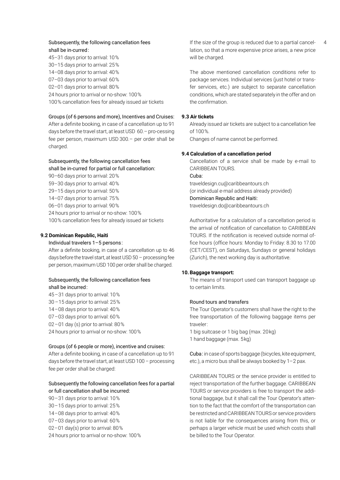# shall be in-curred:

45–31 days prior to arrival: 10 % 30–15 days prior to arrival: 25 % 14–08 days prior to arrival: 40 % 07–03 days prior to arrival: 60 % 02–01 days prior to arrival: 80 % 24 hours prior to arrival or no-show: 100 % 100 % cancellation fees for already issued air tickets

# Groups (of 6 persons and more), Incentives and Cruises:

After a definite booking, in case of a cancellation up to 91 days before the travel start, at least USD  60.– pro-cessing fee per person, maximum USD 300.– per order shall be charged.

# Subsequently, the following cancellation fees shall be in-curred  for partial or full cancellation:

90–60 days prior to arrival: 20 % 59–30 days prior to arrival: 40 %

- 29–15 days prior to arrival: 50 %
- 14–07 days prior to arrival: 75 %
- 06–01 days prior to arrival: 90 %
- 24 hours prior to arrival or no-show: 100 %
- 100 % cancellation fees for already issued air tickets

# **9.2 Dominican Republic, Haiti**

# Individual travelers 1–5 persons:

After a definite booking, in case of a cancellation up to 46 days before the travel start, at least USD 50 – processing fee per person, maximum USD 100 per order shall be charged.

# Subsequently, the following cancellation fees shall be incurred:

45–31 days prior to arrival: 10 %

- 30 –15 days prior to arrival: 25 %
- 14–08 days prior to arrival: 40 %
- 07–03 days prior to arrival: 60 %
- 02–01 day (s) prior to arrival: 80 %
- 24 hours prior to arrival or no-show: 100 %

# Groups (of 6 people or more), incentive and cruises:

After a definite booking, in case of a cancellation up to 91 days before the travel start, at least USD 100 – processing fee per order shall be charged:

# Subsequently the following cancellation fees for a partial or full cancellation shall be incurred:

- 90–31 days prior to arrival: 10 %
- 30–15 days prior to arrival: 25 %
- 14–08 days prior to arrival: 40 %
- 07–03 days prior to arrival: 60 %
- 02–01 day(s) prior to arrival: 80 %
- 24 hours prior to arrival or no-show: 100 %

Subsequently, the following cancellation fees **4 11** If the size of the group is reduced due to a partial cancellation, so that a more expensive price arises, a new price will be charged.

> The above mentioned cancellation conditions refer to package services. Individual services (just hotel or transfer services, etc.) are subject to separate cancellation conditions, which are stated separately in the offer and on the confirmation.

# **9.3 Air tickets**

Already issued air tickets are subject to a cancellation fee of 100 %.

Changes of name cannot be performed.

# **9.4 Calculation of a cancellation period**

Cancellation of a service shall be made by e-mail to CARIBBEAN TOURS. Cuba:

traveldesign.cu@caribbeantours.ch (or individual e-mail address already provided) Dominican Republic and Haiti:

traveldesign.do@caribbeantours.ch

Authoritative for a calculation of a cancellation period is the arrival of notification of cancellation to CARIBBEAN TOURS. If the notification is received outside normal office hours (office hours: Monday to Friday: 8.30 to 17.00 (CET/CEST), on Saturdays, Sundays or general holidays (Zurich), the next working day is authoritative.

# **10.Baggage transport:**

The means of transport used can transport baggage up to certain limits.

# Round tours and transfers

The Tour Operator's customers shall have the right to the free transportation of the following baggage items per traveler :

1 big suitcase or 1 big bag (max. 20 kg)

1 hand baggage (max. 5 kg)

Cuba: in case of sports baggage (bicycles, kite equipment, etc.), a micro bus shall be always booked by 1–2 pax.

CARIBBEAN TOURS or the service provider is entitled to reject transportation of the further baggage. CARIBBEAN TOURS or service providers is free to transport the additional baggage, but it shall call the Tour Operator's attention to the fact that the comfort of the transportation can be restricted and CARIBBEAN TOURS or service providers is not liable for the consequences arising from this, or perhaps a larger vehicle must be used which costs shall be billed to the Tour Operator.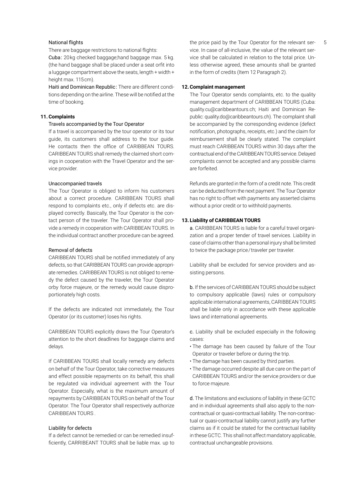#### National flights

There are baggage restrictions to national flights:

Cuba: 20 kg checked baggage;hand baggage max. 5 kg. (the hand baggage shall be placed under a seat orfit into a luggage compartment above the seats, length + width + height max. 115cm).

Haiti and Dominican Republic: There are different conditions depending on the airline. These will be notified at the time of booking.

# **11.Complaints**

#### Travels accompanied by the Tour Operator

If a travel is accompanied by the tour operator or its tour guide, its customers shall address to the tour guide. He contacts then the office of CARIBBEAN TOURS. CARIBBEAN TOURS shall remedy the claimed short comings in cooperation with the Travel Operator and the service provider.

# Unaccompanied travels

The Tour Operator is obliged to inform his customers about a correct procedure. CARIBBEAN TOURS shall respond to complaints etc., only if defects etc. are displayed correctly. Basically, the Tour Operator is the contact person of the traveler. The Tour Operator shall provide a remedy in cooperation with CARIBBEAN TOURS. In the individual contract another procedure can be agreed.

# Removal of defects

CARIBBEAN TOURS shall be notified immediately of any defects, so that CARIBBEAN TOURS can provide appropriate remedies. CARIBBEAN TOURS is not obliged to remedy the defect caused by the traveler, the Tour Operator orby force majeure, or the remedy would cause disproportionately high costs.

If the defects are indicated not immediately, the Tour Operator (or its customer) loses his rights.

CARIBBEAN TOURS explicitly draws the Tour Operator's attention to the short deadlines for baggage claims and delays.

If CARIBBEAN TOURS shall locally remedy any defects on behalf of the Tour Operator, take corrective measures and effect possible repayments on its behalf, this shall be regulated via individual agreement with the Tour Operator. Especially, what is the maximum amount of repayments by CARIBBEAN TOURS on behalf of the Tour Operator. The Tour Operator shall respectively authorize CARIBBEAN TOURS .

#### Liability for defects

If a defect cannot be remedied or can be remedied insufficiently, CARRIBEANT TOURS shall be liable max. up to the price paid by the Tour Operator for the relevant ser- 5 vice. In case of all-inclusive, the value of the relevant service shall be calculated in relation to the total price. Unless otherwise agreed, these amounts shall be granted in the form of credits (Item 12 Paragraph 2).

#### **12.Complaint management**

The Tour Operator sends complaints, etc. to the quality management department of CARIBBEAN TOURS (Cuba: quality.cu@caribbeantours.ch; Haiti and Dominican Republic: quality.do@caribbeantours.ch). The complaint shall be accompanied by the corresponding evidence (defect notification, photographs, receipts, etc.) and the claim for reimbursement shall be clearly stated. The complaint must reach CARIBBEAN TOURS within 30 days after the contractual end of the CARIBBEAN TOURS service. Delayed complaints cannot be accepted and any possible claims are forfeited.

Refunds are granted in the form of a credit note. This credit can be deducted from the next payment. The Tour Operator has no right to offset with payments any asserted claims without a prior credit or to withhold payments.

#### **13. Liability of CARIBBEAN TOURS**

a. CARIBBEAN TOURS is liable for a careful travel organization and a proper tender of travel services. Liability in case of claims other than a personal injury shall be limited to twice the package price/traveler per traveler.

Liability shall be excluded for service providers and assisting persons.

b. If the services of CARIBBEAN TOURS should be subject to compulsory applicable (laws) rules or compulsory applicable international agreements, CARIBBEAN TOURS shall be liable only in accordance with these applicable laws and international agreements.

c. Liability shall be excluded especially in the following cases:

- The damage has been caused by failure of the Tour Operator or traveler before or during the trip.
- The damage has been caused by third parties.
- The damage occurred despite all due care on the part of CARIBBEAN TOURS and/or the service providers or due to force majeure.

d. The limitations and exclusions of liability in these GCTC and in individual agreements shall also apply to the noncontractual or quasi-contractual liability. The non-contractual or quasi-contractual liability cannot justify any further claims as if it could be stated for the contractual liability in these GCTC. This shall not affect mandatory applicable, contractual unchangeable provisions.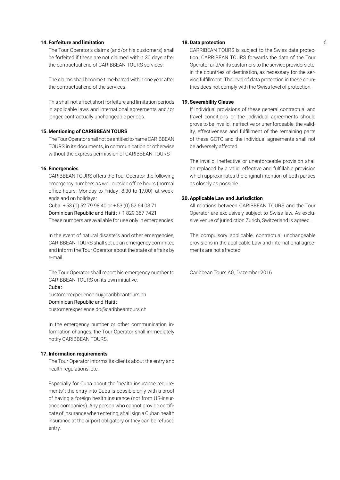# **14.Forfeiture and limitation** 6

The Tour Operator's claims (and/or his customers) shall be forfeited if these are not claimed within 30 days after the contractual end of CARIBBEAN TOURS services.

The claims shall become time-barred within one year after the contractual end of the services.

This shall not affect short forfeiture and limitation periods in applicable laws and international agreements and / or longer, contractually unchangeable periods.

#### **15.Mentioning of CARIBBEAN TOURS**

The Tour Operator shall not be entitled to name CARIBBEAN TOURS in its documents, in communication or otherwise without the express permission of CARIBBEAN TOURS

# **16.Emergencies**

CARIBBEAN TOURS offers the Tour Operator the following emergency numbers as well outside office hours (normal office hours: Monday to Friday : 8.30 to 17.00), at weekends and on holidays :

Cuba:  $+53(0)$  52 79 98 40 or  $+53(0)$  52 64 03 71 Dominican Republic and Haiti: + 1 829 367 7421 These numbers are available for use only in emergencies.

In the event of natural disasters and other emergencies, CARIBBEAN TOURS shall set up an emergency commitee and inform the Tour Operator about the state of affairs by e-mail.

The Tour Operator shall report his emergency number to CARIBBEAN TOURS on its own initiative:

# Cuba :

customerexperience.cu@caribbeantours.ch Dominican Republic and Haiti:

customerexperience.do@caribbeantours.ch

In the emergency number or other communication information changes, the Tour Operator shall immediately notify CARIBBEAN TOURS.

# **17.Information requirements**

The Tour Operator informs its clients about the entry and health regulations, etc.

Especially for Cuba about the "health insurance requirements" : the entry into Cuba is possible only with a proof of having a foreign health insurance (not from US-insurance companies). Any person who cannot provide certificate of insurance when entering, shall sign a Cuban health insurance at the airport obligatory or they can be refused entry.

# **18.Data protection**

CARRIBEAN TOURS is subject to the Swiss data protection. CARRIBEAN TOURS forwards the data of the Tour Operator and/or its customers to the service providers etc. in the countries of destination, as necessary for the service fulfillment. The level of data protection in these countries does not comply with the Swiss level of protection.

# **19.Severability Clause**

If individual provisions of these general contractual and travel conditions or the individual agreements should prove to be invalid, ineffective or unenforceable, the validity, effectiveness and fulfillment of the remaining parts of these GCTC and the individual agreements shall not be adversely affected.

The invalid, ineffective or unenforceable provision shall be replaced by a valid, effective and fulfillable provision which approximates the original intention of both parties as closely as possible.

#### **20.Applicable Law and Jurisdiction**

All relations between CARIBBEAN TOURS and the Tour Operator are exclusively subject to Swiss law. As exclusive venue of jurisdiction Zurich, Switzerland is agreed.

The compulsory applicable, contractual unchangeable provisions in the applicable Law and international agreements are not affected

Caribbean Tours AG, Dezember 2016